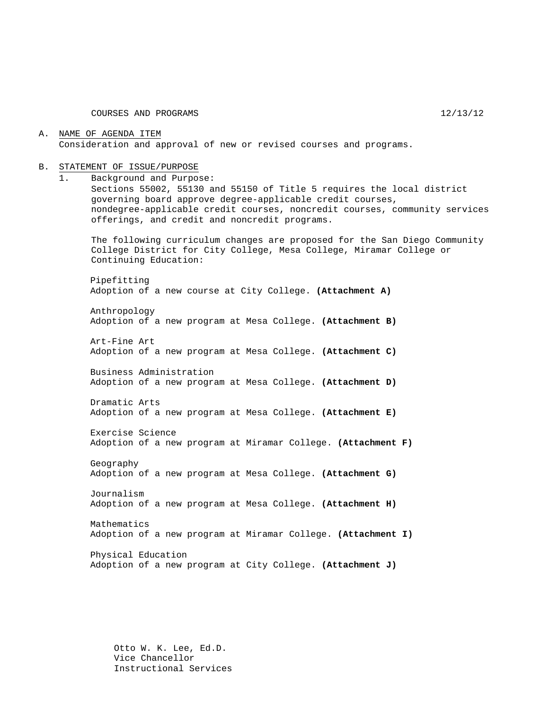#### A. NAME OF AGENDA ITEM Consideration and approval of new or revised courses and programs.

#### B. STATEMENT OF ISSUE/PURPOSE

1. Background and Purpose:

Sections 55002, 55130 and 55150 of Title 5 requires the local district governing board approve degree-applicable credit courses, nondegree-applicable credit courses, noncredit courses, community services offerings, and credit and noncredit programs.

The following curriculum changes are proposed for the San Diego Community College District for City College, Mesa College, Miramar College or Continuing Education:

Pipefitting Adoption of a new course at City College. **(Attachment A)**

Anthropology Adoption of a new program at Mesa College. **(Attachment B)**

Art-Fine Art Adoption of a new program at Mesa College. **(Attachment C)**

Business Administration Adoption of a new program at Mesa College. **(Attachment D)**

Dramatic Arts Adoption of a new program at Mesa College. **(Attachment E)**

Exercise Science Adoption of a new program at Miramar College. **(Attachment F)**

Geography Adoption of a new program at Mesa College. **(Attachment G)**

Journalism Adoption of a new program at Mesa College. **(Attachment H)**

Mathematics Adoption of a new program at Miramar College. **(Attachment I)**

Physical Education Adoption of a new program at City College. **(Attachment J)**

Otto W. K. Lee, Ed.D. Vice Chancellor Instructional Services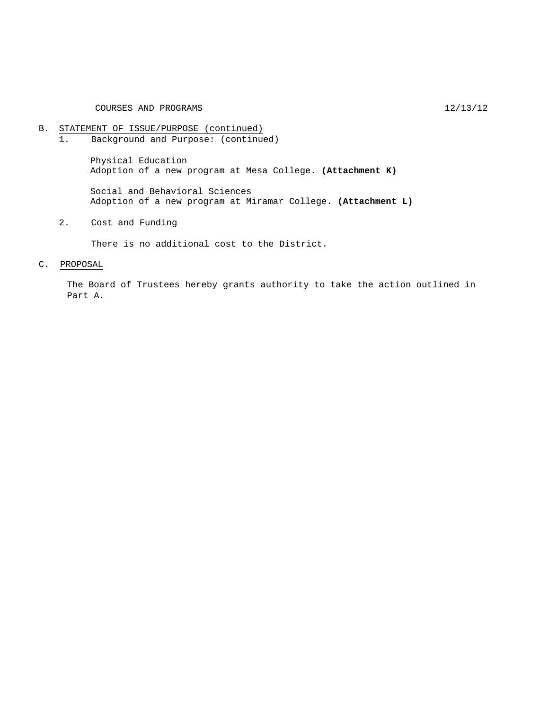# B. STATEMENT OF ISSUE/PURPOSE (continued)<br>1. Background and Purpose: (continue

Background and Purpose: (continued)

Physical Education Adoption of a new program at Mesa College. **(Attachment K)**

Social and Behavioral Sciences Adoption of a new program at Miramar College. **(Attachment L)**

2. Cost and Funding

There is no additional cost to the District.

#### C. PROPOSAL

The Board of Trustees hereby grants authority to take the action outlined in Part A.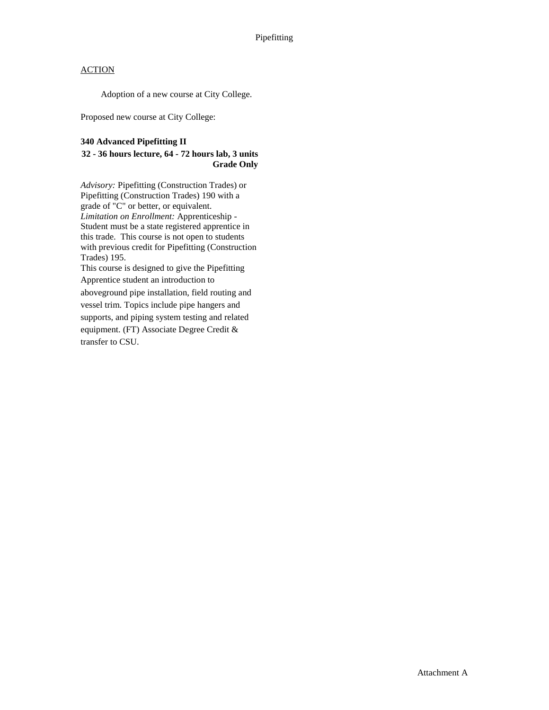Adoption of a new course at City College.

Proposed new course at City College:

#### **340 Advanced Pipefitting II**

#### **32 - 36 hours lecture, 64 - 72 hours lab, 3 units Grade Only**

*Advisory:* Pipefitting (Construction Trades) or Pipefitting (Construction Trades) 190 with a grade of "C" or better, or equivalent. *Limitation on Enrollment:* Apprenticeship - Student must be a state registered apprentice in this trade. This course is not open to students with previous credit for Pipefitting (Construction Trades) 195.

This course is designed to give the Pipefitting Apprentice student an introduction to aboveground pipe installation, field routing and vessel trim. Topics include pipe hangers and supports, and piping system testing and related equipment. (FT) Associate Degree Credit & transfer to CSU.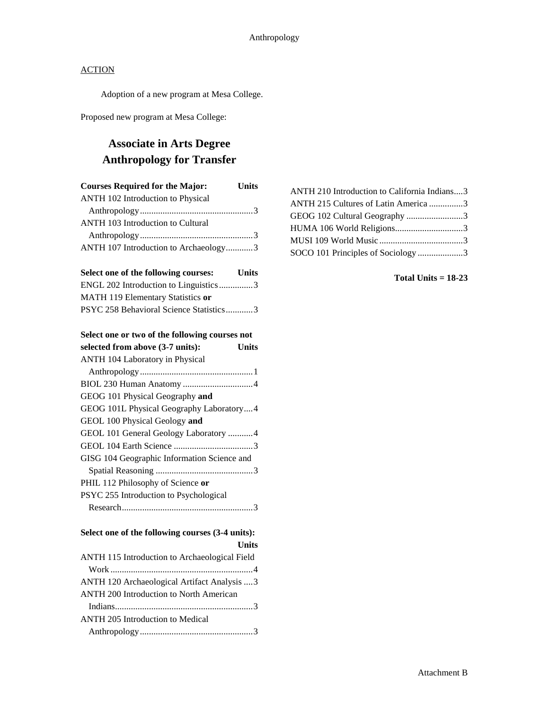Adoption of a new program at Mesa College.

Proposed new program at Mesa College:

# **Associate in Arts Degree Anthropology for Transfer**

| <b>Courses Required for the Major:</b>   | <b>Units</b> |
|------------------------------------------|--------------|
| ANTH 102 Introduction to Physical        |              |
|                                          |              |
| <b>ANTH 103 Introduction to Cultural</b> |              |
|                                          |              |
| ANTH 107 Introduction to Archaeology3    |              |
|                                          |              |

| Select one of the following courses:    | <b>Units</b> |
|-----------------------------------------|--------------|
| ENGL 202 Introduction to Linguistics3   |              |
| MATH 119 Elementary Statistics or       |              |
| PSYC 258 Behavioral Science Statistics3 |              |

#### **Select one or two of the following courses not**

| selected from above (3-7 units):<br>Units   |  |
|---------------------------------------------|--|
| <b>ANTH 104 Laboratory in Physical</b>      |  |
|                                             |  |
|                                             |  |
| GEOG 101 Physical Geography and             |  |
| GEOG 101L Physical Geography Laboratory4    |  |
| GEOL 100 Physical Geology and               |  |
| GEOL 101 General Geology Laboratory 4       |  |
|                                             |  |
| GISG 104 Geographic Information Science and |  |
|                                             |  |
| PHIL 112 Philosophy of Science or           |  |
| PSYC 255 Introduction to Psychological      |  |
|                                             |  |

| Select one of the following courses (3-4 units): |
|--------------------------------------------------|
| Units                                            |
| ANTH 115 Introduction to Archaeological Field    |
|                                                  |

| ANTH 120 Archaeological Artifact Analysis  3   |
|------------------------------------------------|
| <b>ANTH 200 Introduction to North American</b> |
|                                                |
| <b>ANTH 205 Introduction to Medical</b>        |
|                                                |
|                                                |

| ANTH 210 Introduction to California Indians3 |  |
|----------------------------------------------|--|
| ANTH 215 Cultures of Latin America 3         |  |
| GEOG 102 Cultural Geography 3                |  |
| HUMA 106 World Religions3                    |  |
|                                              |  |
| SOCO 101 Principles of Sociology 3           |  |

#### **Total Units = 18-23**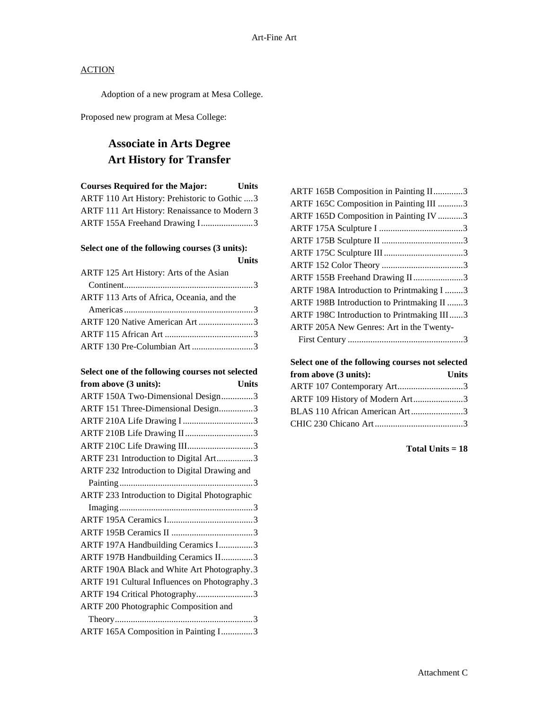Adoption of a new program at Mesa College.

Proposed new program at Mesa College:

# **Associate in Arts Degree Art History for Transfer**

| <b>Courses Required for the Major:</b>         | Units |
|------------------------------------------------|-------|
| ARTF 110 Art History: Prehistoric to Gothic  3 |       |
| ARTF 111 Art History: Renaissance to Modern 3  |       |
| ARTF 155A Freehand Drawing I3                  |       |

#### **Select one of the following courses (3 units):**

|                                           | <b>Units</b> |
|-------------------------------------------|--------------|
| ARTF 125 Art History: Arts of the Asian   |              |
|                                           |              |
| ARTF 113 Arts of Africa, Oceania, and the |              |
|                                           |              |
| ARTF 120 Native American Art 3            |              |
|                                           |              |
| ARTF 130 Pre-Columbian Art3               |              |

# Select one of the following courses not selected<br>**from above (3 units):** [Jnits]

| ARTF 165B Composition in Painting II3      |  |
|--------------------------------------------|--|
| ARTF 165C Composition in Painting III 3    |  |
| ARTF 165D Composition in Painting IV 3     |  |
|                                            |  |
|                                            |  |
|                                            |  |
|                                            |  |
| ARTF 155B Freehand Drawing II3             |  |
| ARTF 198A Introduction to Printmaking I 3  |  |
| ARTF 198B Introduction to Printmaking II 3 |  |
| ARTF 198C Introduction to Printmaking III3 |  |
| ARTF 205A New Genres: Art in the Twenty-   |  |
|                                            |  |
|                                            |  |

## **Select one of the following courses not selected from above (3 units): Units** ARTF 107 Contemporary Art.............................3 ARTF 109 History of Modern Art......................3 BLAS 110 African American Art.......................3 CHIC 230 Chicano Art.......................................3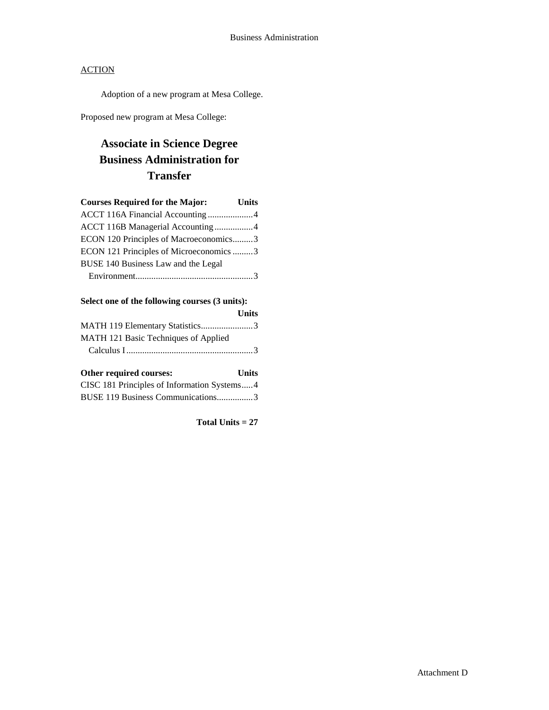Adoption of a new program at Mesa College.

Proposed new program at Mesa College:

# **Associate in Science Degree Business Administration for Transfer**

| <b>Courses Required for the Major:</b>  | <b>Units</b> |
|-----------------------------------------|--------------|
| ACCT 116A Financial Accounting 4        |              |
| ACCT 116B Managerial Accounting 4       |              |
| ECON 120 Principles of Macroeconomics3  |              |
| ECON 121 Principles of Microeconomics 3 |              |
| BUSE 140 Business Law and the Legal     |              |
|                                         |              |

| Select one of the following courses (3 units): |
|------------------------------------------------|
|------------------------------------------------|

|                                      | <b>Units</b> |
|--------------------------------------|--------------|
| MATH 119 Elementary Statistics3      |              |
| MATH 121 Basic Techniques of Applied |              |
|                                      |              |

# **Other required courses: Units**

| CISC 181 Principles of Information Systems4 |  |
|---------------------------------------------|--|
| BUSE 119 Business Communications3           |  |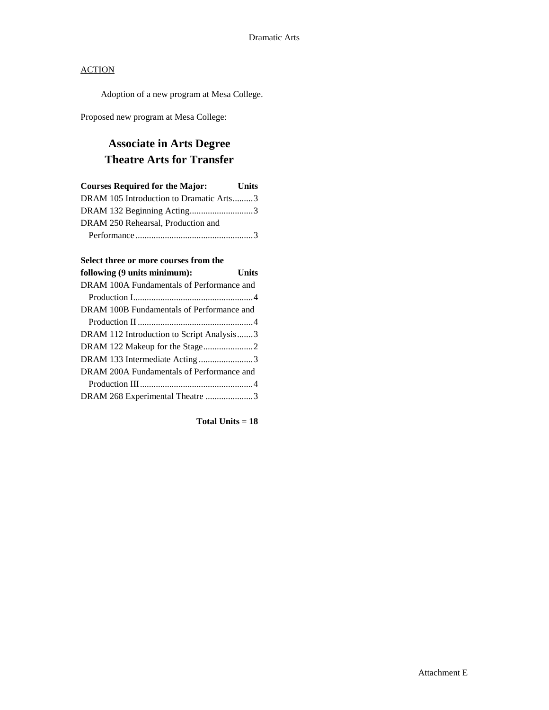Adoption of a new program at Mesa College.

Proposed new program at Mesa College:

# **Associate in Arts Degree Theatre Arts for Transfer**

| <b>Courses Required for the Major:</b>  | <b>Units</b> |
|-----------------------------------------|--------------|
| DRAM 105 Introduction to Dramatic Arts3 |              |
| DRAM 132 Beginning Acting3              |              |
| DRAM 250 Rehearsal, Production and      |              |
|                                         |              |

#### **Select three or more courses from the**

| following (9 units minimum):              | Units |
|-------------------------------------------|-------|
| DRAM 100A Fundamentals of Performance and |       |
|                                           |       |
| DRAM 100B Fundamentals of Performance and |       |
|                                           |       |
| DRAM 112 Introduction to Script Analysis3 |       |
|                                           |       |
| DRAM 133 Intermediate Acting3             |       |
| DRAM 200A Fundamentals of Performance and |       |
|                                           |       |
| DRAM 268 Experimental Theatre 3           |       |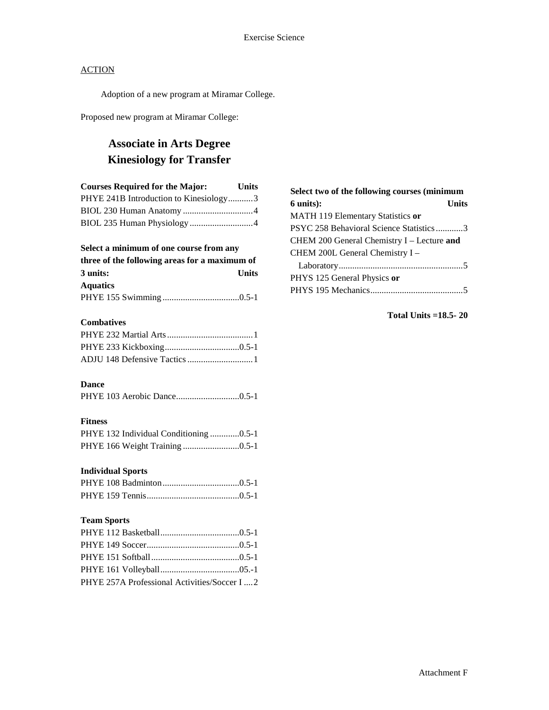Adoption of a new program at Miramar College.

Proposed new program at Miramar College:

# **Associate in Arts Degree Kinesiology for Transfer**

| <b>Courses Required for the Major:</b> | <b>Units</b> |
|----------------------------------------|--------------|
| PHYE 241B Introduction to Kinesiology3 |              |
|                                        |              |
|                                        |              |

#### **Select a minimum of one course from any**

| three of the following areas for a maximum of |              |  |
|-----------------------------------------------|--------------|--|
| 3 units:                                      | <b>Units</b> |  |
| <b>Aquatics</b>                               |              |  |
|                                               |              |  |

#### **Combatives**

| ADJU 148 Defensive Tactics 1 |  |
|------------------------------|--|

#### **Dance**

#### **Fitness**

|  | PHYE 132 Individual Conditioning 0.5-1 |  |  |
|--|----------------------------------------|--|--|
|  | PHYE 166 Weight Training 0.5-1         |  |  |

#### **Individual Sports**

#### **Team Sports**

| PHYE 257A Professional Activities/Soccer I  2 |  |
|-----------------------------------------------|--|

| Select two of the following courses (minimum |
|----------------------------------------------|
| <b>Units</b><br>$6$ units $)$ :              |
| MATH 119 Elementary Statistics or            |
| PSYC 258 Behavioral Science Statistics3      |
| CHEM 200 General Chemistry I - Lecture and   |
| CHEM 200L General Chemistry I -              |
|                                              |
| PHYS 125 General Physics or                  |
|                                              |

#### **Total Units =18.5- 20**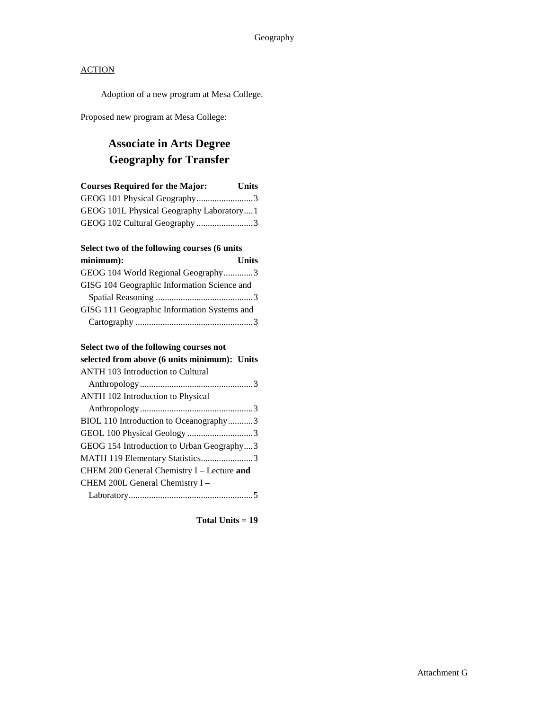Adoption of a new program at Mesa College.

Proposed new program at Mesa College:

# **Associate in Arts Degree Geography for Transfer**

| <b>Courses Required for the Major:</b>   | <b>Units</b> |
|------------------------------------------|--------------|
| GEOG 101 Physical Geography3             |              |
| GEOG 101L Physical Geography Laboratory1 |              |
| GEOG 102 Cultural Geography 3            |              |

#### **Select two of the following courses (6 units**

| minimum):                                   | <b>Units</b> |
|---------------------------------------------|--------------|
| GEOG 104 World Regional Geography3          |              |
| GISG 104 Geographic Information Science and |              |
|                                             |              |
| GISG 111 Geographic Information Systems and |              |
|                                             |              |

## **Select two of the following courses not**

# **selected from above (6 units minimum): Units**

| <b>ANTH 103 Introduction to Cultural</b>   |
|--------------------------------------------|
|                                            |
| <b>ANTH 102 Introduction to Physical</b>   |
|                                            |
| BIOL 110 Introduction to Oceanography3     |
| GEOL 100 Physical Geology 3                |
| GEOG 154 Introduction to Urban Geography3  |
| MATH 119 Elementary Statistics3            |
| CHEM 200 General Chemistry I - Lecture and |
| CHEM 200L General Chemistry I -            |
|                                            |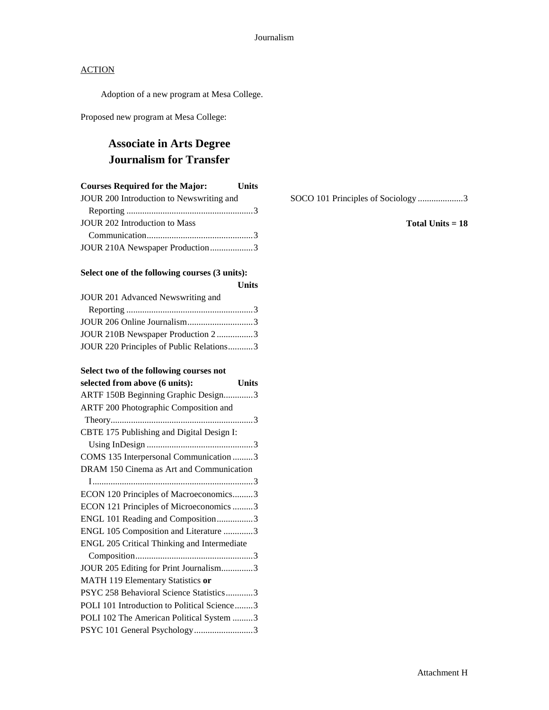Adoption of a new program at Mesa College.

Proposed new program at Mesa College:

# **Associate in Arts Degree Journalism for Transfer**

| <b>Courses Required for the Major:</b>   | <b>Units</b> |
|------------------------------------------|--------------|
| JOUR 200 Introduction to Newswriting and |              |
|                                          |              |
| <b>JOUR 202 Introduction to Mass</b>     |              |
|                                          |              |
| JOUR 210A Newspaper Production3          |              |

#### **Select one of the following courses (3 units):**

|                                          | <b>Units</b> |
|------------------------------------------|--------------|
| JOUR 201 Advanced Newswriting and        |              |
|                                          |              |
|                                          |              |
| JOUR 210B Newspaper Production 23        |              |
| JOUR 220 Principles of Public Relations3 |              |

#### **Select two of the following courses not**

| selected from above (6 units):<br><b>Units</b> |  |
|------------------------------------------------|--|
| ARTF 150B Beginning Graphic Design3            |  |
| <b>ARTF 200 Photographic Composition and</b>   |  |
|                                                |  |
| CBTE 175 Publishing and Digital Design I:      |  |
|                                                |  |
| COMS 135 Interpersonal Communication 3         |  |
| DRAM 150 Cinema as Art and Communication       |  |
|                                                |  |
| ECON 120 Principles of Macroeconomics3         |  |
| ECON 121 Principles of Microeconomics 3        |  |
| ENGL 101 Reading and Composition3              |  |
| ENGL 105 Composition and Literature 3          |  |
| ENGL 205 Critical Thinking and Intermediate    |  |
|                                                |  |
| JOUR 205 Editing for Print Journalism3         |  |
| MATH 119 Elementary Statistics or              |  |
| PSYC 258 Behavioral Science Statistics3        |  |
| POLI 101 Introduction to Political Science3    |  |
| POLI 102 The American Political System 3       |  |
| PSYC 101 General Psychology3                   |  |

SOCO 101 Principles of Sociology ....................3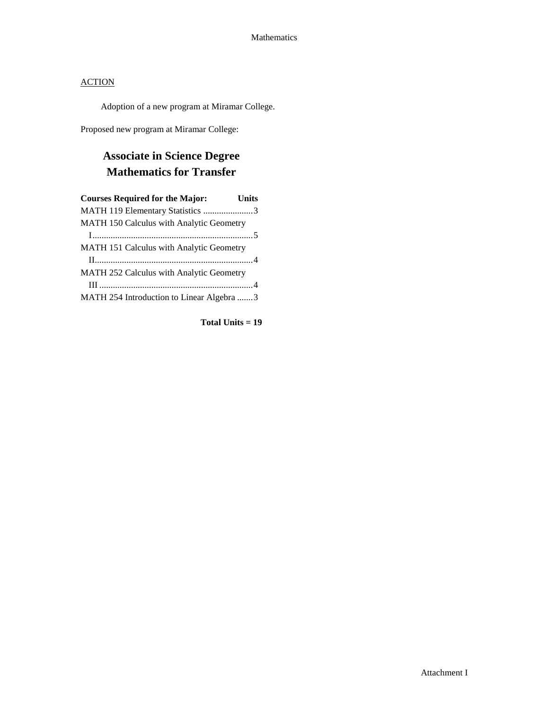Adoption of a new program at Miramar College.

Proposed new program at Miramar College:

# **Associate in Science Degree Mathematics for Transfer**

| <b>Courses Required for the Major:</b>          | <b>Units</b> |
|-------------------------------------------------|--------------|
| MATH 119 Elementary Statistics 3                |              |
| MATH 150 Calculus with Analytic Geometry        |              |
|                                                 |              |
| <b>MATH 151 Calculus with Analytic Geometry</b> |              |
|                                                 |              |
| <b>MATH 252 Calculus with Analytic Geometry</b> |              |
|                                                 |              |
| MATH 254 Introduction to Linear Algebra 3       |              |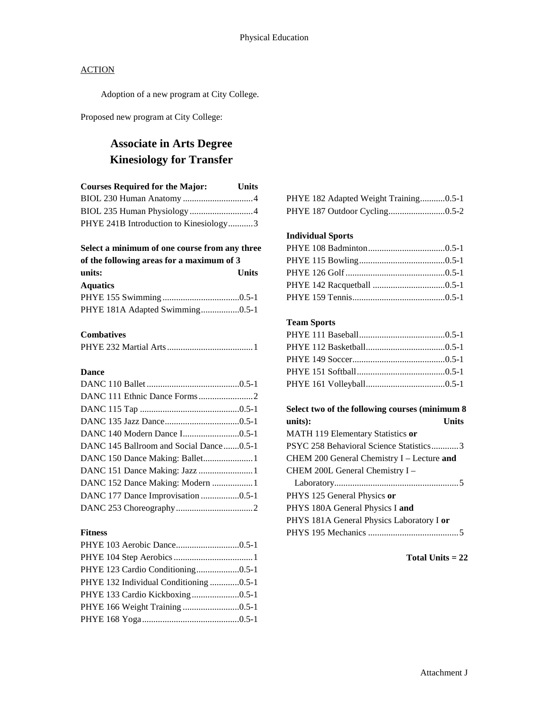Adoption of a new program at City College.

Proposed new program at City College:

# **Associate in Arts Degree Kinesiology for Transfer**

| <b>Courses Required for the Major:</b> | <b>Units</b> |
|----------------------------------------|--------------|
|                                        |              |
|                                        |              |
| PHYE 241B Introduction to Kinesiology3 |              |

#### **Select a minimum of one course from any three**

| of the following areas for a maximum of 3 |       |
|-------------------------------------------|-------|
| units:                                    | Units |
| <b>Aquatics</b>                           |       |
|                                           |       |
| PHYE 181A Adapted Swimming0.5-1           |       |

#### **Combatives**

#### **Dance**

| DANC 145 Ballroom and Social Dance0.5-1 |  |
|-----------------------------------------|--|
|                                         |  |
|                                         |  |
| DANC 152 Dance Making: Modern 1         |  |
| DANC 177 Dance Improvisation 0.5-1      |  |
|                                         |  |

#### **Fitness**

| PHYE 132 Individual Conditioning 0.5-1 |  |
|----------------------------------------|--|
| PHYE 133 Cardio Kickboxing0.5-1        |  |
| PHYE 166 Weight Training 0.5-1         |  |
|                                        |  |

|  |  | PHYE 182 Adapted Weight Training0.5-1 |
|--|--|---------------------------------------|
|  |  |                                       |

#### **Individual Sports**

#### **Team Sports**

## **Select two of the following courses (minimum 8 units): Units** MATH 119 Elementary Statistics **or** PSYC 258 Behavioral Science Statistics............3 CHEM 200 General Chemistry I – Lecture **and** CHEM 200L General Chemistry I – Laboratory.......................................................5 PHYS 125 General Physics **or** PHYS 180A General Physics I **and** PHYS 181A General Physics Laboratory I **or** PHYS 195 Mechanics ........................................5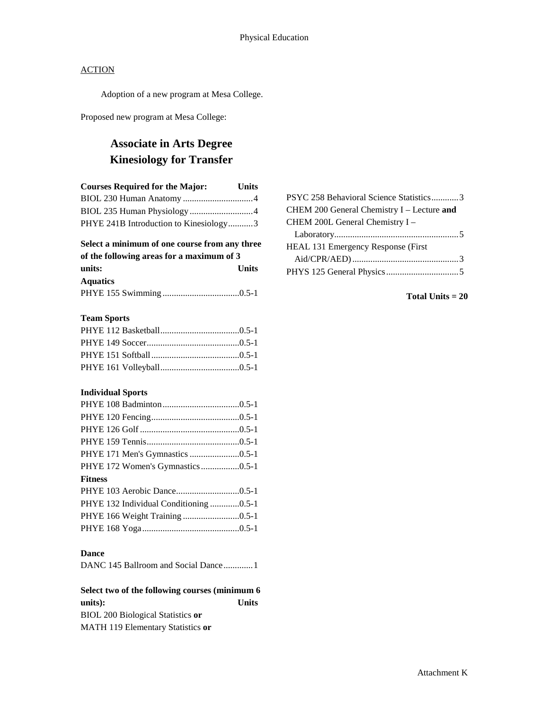Adoption of a new program at Mesa College.

Proposed new program at Mesa College:

## **Associate in Arts Degree Kinesiology for Transfer**

| <b>Courses Required for the Major:</b> | <b>Units</b> |
|----------------------------------------|--------------|
|                                        |              |
|                                        |              |
| PHYE 241B Introduction to Kinesiology3 |              |
|                                        |              |

#### **Select a minimum of one course from any three of the following areas for a maximum of 3**

| <u>UL UIU IUIUWIIIE ALUAS IUL A IIIAXIIIIUIII UL J</u> |              |  |
|--------------------------------------------------------|--------------|--|
| units:                                                 | <b>Units</b> |  |
| <b>Aquatics</b>                                        |              |  |
|                                                        |              |  |

#### **Team Sports**

#### **Individual Sports**

| PHYE 172 Women's Gymnastics 0.5-1      |  |
|----------------------------------------|--|
| <b>Fitness</b>                         |  |
|                                        |  |
| PHYE 132 Individual Conditioning 0.5-1 |  |
| PHYE 166 Weight Training 0.5-1         |  |
|                                        |  |

#### **Dance**

|--|--|--|--|

## **Select two of the following courses (minimum 6**

**units): Units** BIOL 200 Biological Statistics **or** MATH 119 Elementary Statistics **or**

| PSYC 258 Behavioral Science Statistics3 |
|-----------------------------------------|
|                                         |
|                                         |
|                                         |
|                                         |
|                                         |
|                                         |
|                                         |